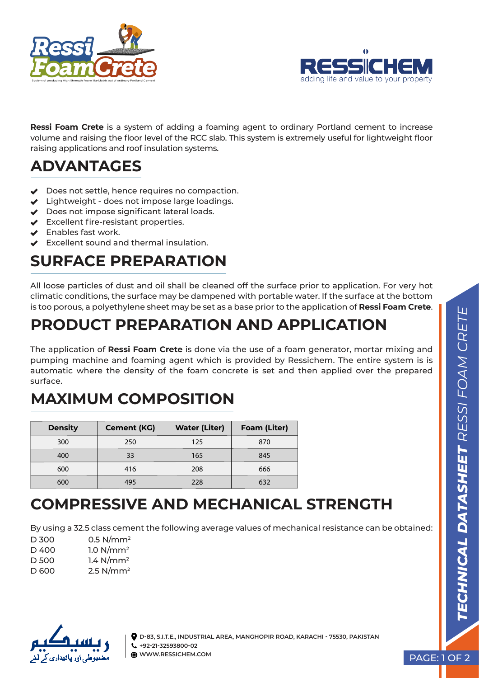



**Ressi Foam Crete** is a system of adding a foaming agent to ordinary Portland cement to increase volume and raising the floor level of the RCC slab. This system is extremely useful for lightweight floor raising applications and roof insulation systems.

# **ADVANTAGES**

- ◆ Does not settle, hence requires no compaction.
- $\vee$  Lightweight does not impose large loadings.
- ◆ Does not impose significant lateral loads.
- ◆ Excellent fire-resistant properties.
- $\triangleleft$  Enables fast work.
- Excellent sound and thermal insulation.

## **SURFACE PREPARATION**

All loose particles of dust and oil shall be cleaned off the surface prior to application. For very hot climatic conditions, the surface may be dampened with portable water. If the surface at the bottom is too porous, a polyethylene sheet may be set as a base prior to the application of **Ressi Foam Crete**.

### **PRODUCT PREPARATION AND APPLICATION**

The application of **Ressi Foam Crete** is done via the use of a foam generator, mortar mixing and pumping machine and foaming agent which is provided by Ressichem. The entire system is is automatic where the density of the foam concrete is set and then applied over the prepared surface.

## **MAXIMUM COMPOSITION**

| <b>Density</b> | <b>Cement (KG)</b> | <b>Water (Liter)</b> | <b>Foam (Liter)</b> |
|----------------|--------------------|----------------------|---------------------|
| 300            | 250                | 125                  | 870                 |
| 400            | 33                 | 165                  | 845                 |
| 600            | 416                | 208                  | 666                 |
| 600            | 495                | 228                  | 632                 |

### **COMPRESSIVE AND MECHANICAL STRENGTH**

By using a 32.5 class cement the following average values of mechanical resistance can be obtained:

| D 300 | $0.5$ N/mm <sup>2</sup> |
|-------|-------------------------|
| D 400 | 1.0 N/mm <sup>2</sup>   |
| D 500 | 1.4 $N/mm^2$            |
| D 600 | $2.5$ N/mm <sup>2</sup> |



**D-83, S.I.T.E., INDUSTRIAL AREA, MANGHOPIR ROAD, KARACHI - 75530, PAKISTAN +92-21-32593800-02 WWW.RESSICHEM.COM PAGE: 1 OF 2**